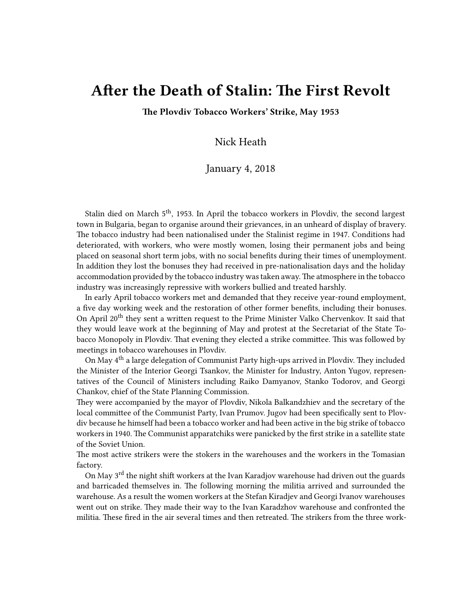## **After the Death of Stalin: The First Revolt**

**The Plovdiv Tobacco Workers' Strike, May 1953**

## Nick Heath

## January 4, 2018

Stalin died on March 5<sup>th</sup>, 1953. In April the tobacco workers in Plovdiv, the second largest town in Bulgaria, began to organise around their grievances, in an unheard of display of bravery. The tobacco industry had been nationalised under the Stalinist regime in 1947. Conditions had deteriorated, with workers, who were mostly women, losing their permanent jobs and being placed on seasonal short term jobs, with no social benefits during their times of unemployment. In addition they lost the bonuses they had received in pre-nationalisation days and the holiday accommodation provided by the tobacco industry was taken away.The atmosphere in the tobacco industry was increasingly repressive with workers bullied and treated harshly.

In early April tobacco workers met and demanded that they receive year-round employment, a five day working week and the restoration of other former benefits, including their bonuses. On April 20<sup>th</sup> they sent a written request to the Prime Minister Valko Chervenkov. It said that they would leave work at the beginning of May and protest at the Secretariat of the State Tobacco Monopoly in Plovdiv. That evening they elected a strike committee. This was followed by meetings in tobacco warehouses in Plovdiv.

On May 4th a large delegation of Communist Party high-ups arrived in Plovdiv. They included the Minister of the Interior Georgi Tsankov, the Minister for Industry, Anton Yugov, representatives of the Council of Ministers including Raiko Damyanov, Stanko Todorov, and Georgi Chankov, chief of the State Planning Commission.

They were accompanied by the mayor of Plovdiv, Nikola Balkandzhiev and the secretary of the local committee of the Communist Party, Ivan Prumov. Jugov had been specifically sent to Plovdiv because he himself had been a tobacco worker and had been active in the big strike of tobacco workers in 1940. The Communist apparatchiks were panicked by the first strike in a satellite state of the Soviet Union.

The most active strikers were the stokers in the warehouses and the workers in the Tomasian factory.

On May 3<sup>rd</sup> the night shift workers at the Ivan Karadjov warehouse had driven out the guards and barricaded themselves in. The following morning the militia arrived and surrounded the warehouse. As a result the women workers at the Stefan Kiradjev and Georgi Ivanov warehouses went out on strike. They made their way to the Ivan Karadzhov warehouse and confronted the militia. These fired in the air several times and then retreated. The strikers from the three work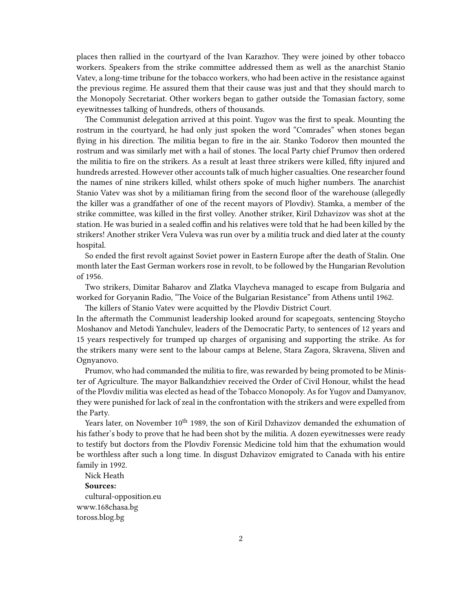places then rallied in the courtyard of the Ivan Karazhov. They were joined by other tobacco workers. Speakers from the strike committee addressed them as well as the anarchist Stanio Vatev, a long-time tribune for the tobacco workers, who had been active in the resistance against the previous regime. He assured them that their cause was just and that they should march to the Monopoly Secretariat. Other workers began to gather outside the Tomasian factory, some eyewitnesses talking of hundreds, others of thousands.

The Communist delegation arrived at this point. Yugov was the first to speak. Mounting the rostrum in the courtyard, he had only just spoken the word "Comrades" when stones began flying in his direction. The militia began to fire in the air. Stanko Todorov then mounted the rostrum and was similarly met with a hail of stones. The local Party chief Prumov then ordered the militia to fire on the strikers. As a result at least three strikers were killed, fifty injured and hundreds arrested. However other accounts talk of much higher casualties. One researcher found the names of nine strikers killed, whilst others spoke of much higher numbers. The anarchist Stanio Vatev was shot by a militiaman firing from the second floor of the warehouse (allegedly the killer was a grandfather of one of the recent mayors of Plovdiv). Stamka, a member of the strike committee, was killed in the first volley. Another striker, Kiril Dzhavizov was shot at the station. He was buried in a sealed coffin and his relatives were told that he had been killed by the strikers! Another striker Vera Vuleva was run over by a militia truck and died later at the county hospital.

So ended the first revolt against Soviet power in Eastern Europe after the death of Stalin. One month later the East German workers rose in revolt, to be followed by the Hungarian Revolution of 1956.

Two strikers, Dimitar Baharov and Zlatka Vlaycheva managed to escape from Bulgaria and worked for Goryanin Radio, "The Voice of the Bulgarian Resistance" from Athens until 1962.

The killers of Stanio Vatev were acquitted by the Plovdiv District Court.

In the aftermath the Communist leadership looked around for scapegoats, sentencing Stoycho Moshanov and Metodi Yanchulev, leaders of the Democratic Party, to sentences of 12 years and 15 years respectively for trumped up charges of organising and supporting the strike. As for the strikers many were sent to the labour camps at Belene, Stara Zagora, Skravena, Sliven and Ognyanovo.

Prumov, who had commanded the militia to fire, was rewarded by being promoted to be Minister of Agriculture. The mayor Balkandzhiev received the Order of Civil Honour, whilst the head of the Plovdiv militia was elected as head of the Tobacco Monopoly. As for Yugov and Damyanov, they were punished for lack of zeal in the confrontation with the strikers and were expelled from the Party.

Years later, on November 10<sup>th</sup> 1989, the son of Kiril Dzhavizov demanded the exhumation of his father's body to prove that he had been shot by the militia. A dozen eyewitnesses were ready to testify but doctors from the Plovdiv Forensic Medicine told him that the exhumation would be worthless after such a long time. In disgust Dzhavizov emigrated to Canada with his entire family in 1992.

Nick Heath **Sources:** [cultural-opposition.eu](http://cultural-opposition.eu/registry/?type=masterpieces&listpage=13&sort=creationDate%2Casc) [www.168chasa.bg](http://www.168chasa.bg/article/2307824) [toross.blog.bg](http://toross.blog.bg/politika/2010/05/22/plovdiv-mai-1953-pyrvata-stachka-sreshtu-komunizma-v-iztochn.549706)